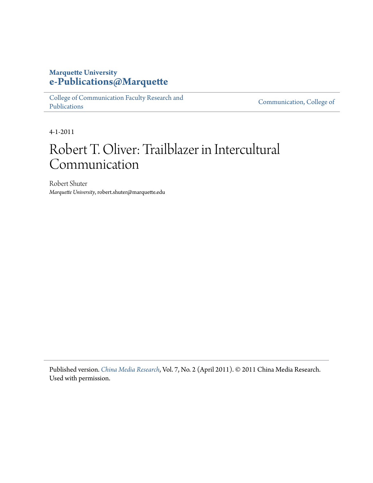# **Marquette University [e-Publications@Marquette](https://epublications.marquette.edu)**

[College of Communication Faculty Research and](https://epublications.marquette.edu/comm_fac) [Publications](https://epublications.marquette.edu/comm_fac)

[Communication, College of](https://epublications.marquette.edu/communication)

4-1-2011

# Robert T. Oliver: Trailblazer in Intercultural Communication

Robert Shuter *Marquette University*, robert.shuter@marquette.edu

Published version. *[China Media Research](http://www.chinamediaresearch.net/)*, Vol. 7, No. 2 (April 2011). © 2011 China Media Research. Used with permission.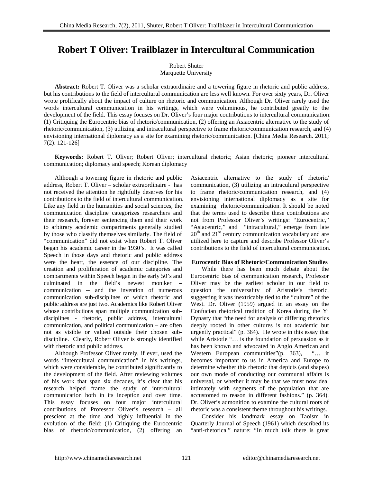# **Robert T Oliver: Trailblazer in Intercultural Communication**

Robert Shuter Marquette University

**Abstract:** Robert T. Oliver was a scholar extraordinaire and a towering figure in rhetoric and public address, but his contributions to the field of intercultural communication are less well known. For over sixty years, Dr. Oliver wrote prolifically about the impact of culture on rhetoric and communication. Although Dr. Oliver rarely used the words intercultural communication in his writings, which were voluminous, he contributed greatly to the development of the field. This essay focuses on Dr. Oliver's four major contributions to intercultural communication: (1) Critiquing the Eurocentric bias of rhetoric/communication, (2) offering an Asiacentric alternative to the study of rhetoric/communication, (3) utilizing and intracultural perspective to frame rhetoric/communication research, and (4) envisioning international diplomacy as a site for examining rhetoric/communication. [China Media Research. 2011; 7(2): 121-126]

**Keywords:** Robert T. Oliver; Robert Oliver; intercultural rhetoric; Asian rhetoric; pioneer intercultural communication; diplomacy and speech; Korean diplomacy

Although a towering figure in rhetoric and public address, Robert T. Oliver – scholar extraordinaire - has not received the attention he rightfully deserves for his contributions to the field of intercultural communication. Like any field in the humanities and social sciences, the communication discipline categorizes researchers and their research, forever sentencing them and their work to arbitrary academic compartments generally studied by those who classify themselves similarly. The field of "communication" did not exist when Robert T. Oliver began his academic career in the 1930's. It was called Speech in those days and rhetoric and public address were the heart, the essence of our discipline. The creation and proliferation of academic categories and compartments within Speech began in the early 50's and culminated in the field's newest moniker – communication -- and the invention of numerous communication sub-disciplines of which rhetoric and public address are just two. Academics like Robert Oliver whose contributions span multiple communication subdisciplines - rhetoric, public address, intercultural communication, and political communication – are often not as visible or valued outside their chosen subdiscipline. Clearly, Robert Oliver is strongly identified with rhetoric and public address.

Although Professor Oliver rarely, if ever, used the words "intercultural communication" in his writings, which were considerable, he contributed significantly to the development of the field. After reviewing volumes of his work that span six decades, it's clear that his research helped frame the study of intercultural communication both in its inception and over time. This essay focuses on four major intercultural contributions of Professor Oliver's research – all prescient at the time and highly influential in the evolution of the field: (1) Critiquing the Eurocentric bias of rhetoric/communication, (2) offering an Asiacentric alternative to the study of rhetoric/ communication, (3) utilizing an intraculural perspective to frame rhetoric/communication research, and (4) envisioning international diplomacy as a site for examining rhetoric/communication. It should be noted that the terms used to describe these contributions are not from Professor Oliver's writings: "Eurocentric," "Asiacentric," and "intracultural," emerge from late  $20<sup>th</sup>$  and  $21<sup>st</sup>$  century communication vocabulary and are utilized here to capture and describe Professor Oliver's contributions to the field of intercultural communication.

#### **Eurocentic Bias of Rhetoric/Communication Studies**

While there has been much debate about the Eurocentric bias of communication research, Professor Oliver may be the earliest scholar in our field to question the universality of Aristotle's rhetoric, suggesting it was inextricably tied to the "culture" of the West. Dr. Oliver (1959) argued in an essay on the Confucian rhetorical tradition of Korea during the Yi Dynasty that "the need for analysis of differing rhetorics deeply rooted in other cultures is not academic but urgently practical" (p. 364). He wrote in this essay that while Aristotle "… is the foundation of persuasion as it has been known and advocated in Anglo American and Western European communities" (p. 363), "... it becomes important to us in America and Europe to determine whether this rhetoric that depicts (and shapes) our own mode of conducting our communal affairs is universal, or whether it may be that we must now deal intimately with segments of the population that are accustomed to reason in different fashions." (p. 364). Dr. Oliver's admonition to examine the cultural roots of rhetoric was a consistent theme throughout his writings.

Consider his landmark essay on Taoism in Quarterly Journal of Speech (1961) which described its "anti-rhetorical" nature: "In much talk there is great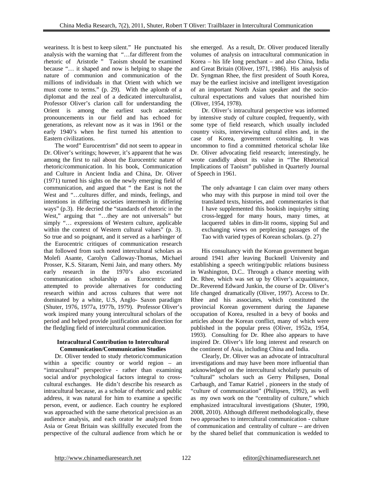weariness. It is best to keep silent." He punctuated his analysis with the warning that "…far different from the rhetoric of Aristotle " Taoism should be examined because "… it shaped and now is helping to shape the nature of communion and communication of the millions of individuals in that Orient with which we must come to terms." (p. 29). With the aplomb of a diplomat and the zeal of a dedicated interculturalist, Professor Oliver's clarion call for understanding the Orient is among the earliest such academic pronouncements in our field and has echoed for generations, as relevant now as it was in 1961 or the early 1940's when he first turned his attention to Eastern civilizations.

 The word" Eurocentrism" did not seem to appear in Dr. Oliver's writings; however, it's apparent that he was among the first to rail about the Eurocentric nature of rhetoric/communication. In his book, Communication and Culture in Ancient India and China, Dr. Oliver (1971) turned his sights on the newly emerging field of communication, and argued that " the East is not the West and "…cultures differ, and minds, feelings, and intentions in differing societies intermesh in differing ways" (p.3). He decried the "standards of rhetoric in the West," arguing that "…they are not universals" but simply "… expressions of Western culture, applicable within the context of Western cultural values" (p. 3). So true and so poignant, and it served as a harbinger of the Eurocentric critiques of communication research that followed from such noted intercultural scholars as Molefi Asante, Carolyn Calloway-Thomas, Michael Prosser, K.S. Sitaram, Nemi Jain, and many others. My early research in the 1970's also excoriated communication scholarship as Eurocentric and attempted to provide alternatives for conducting research within and across cultures that were not dominated by a white, U.S, Anglo- Saxon paradigm (Shuter, 1976, 1977a, 1977b, 1979). Professor Oliver's work inspired many young intercultural scholars of the period and helped provide justification and direction for the fledgling field of intercultural communication.

# **Intracultural Contribution to Intercultural Communication/Communication Studies**

Dr. Oliver tended to study rhetoric/communication within a specific country or world region – an "intracultural" perspective - rather than examining social and/or psychological factors integral to crosscultural exchanges. He didn't describe his research as intracultural because, as a scholar of rhetoric and public address, it was natural for him to examine a specific person, event, or audience. Each country he explored was approached with the same rhetorical precision as an audience analysis, and each orator he analyzed from Asia or Great Britain was skillfully executed from the perspective of the cultural audience from which he or she emerged. As a result, Dr. Oliver produced literally volumes of analysis on intracultural communication in Korea – his life long penchant – and also China, India and Great Britain (Oliver, 1971, 1986). His analysis of Dr. Syngman Rhee, the first president of South Korea, may be the earliest incisive and intelligent investigation of an important North Asian speaker and the sociocultural expectations and values that nourished him (Oliver, 1954, 1978).

Dr. Oliver's intracultural perspective was informed by intensive study of culture coupled, frequently, with some type of field research, which usually included country visits, interviewing cultural elites and, in the case of Korea, government consulting. It was uncommon to find a committed rhetorical scholar like Dr. Oliver advocating field research; interestingly, he wrote candidly about its value in "The Rhetorical Implications of Taoism" published in Quarterly Journal of Speech in 1961.

The only advantage I can claim over many others who may with this purpose in mind toil over the translated texts, histories, and commentaries is that I have supplemented this bookish inquiryby sitting cross-legged for many hours, many times, at lacquered tables in dim-lit rooms, sipping Sul and exchanging views on perplexing passages of the Tao with varied types of Korean scholars. (p. 27)

His consultancy with the Korean government began around 1941 after leaving Bucknell University and establishing a speech writing/public relations business in Washington, D.C.. Through a chance meeting with Dr. Rhee, which was set up by Oliver's acquaintance, Dr..Reverend Edward Junkin, the course of Dr. Oliver's life changed dramatically (Oliver, 1997). Access to Dr. Rhee and his associates, which constituted the provincial Korean government during the Japanese occupation of Korea, resulted in a bevy of books and articles about the Korean conflict, many of which were published in the popular press (Oliver, 1952a, 1954, 1993). Consulting for Dr. Rhee also appears to have inspired Dr. Oliver's life long interest and research on the continent of Asia, including China and India.

 Clearly, Dr. Oliver was an advocate of intracultural investigations and may have been more influential than acknowledged on the intercultural scholarly pursuits of "cultural" scholars such as Gerry Philipsen, Donal Carbaugh, and Tamar Katriel , pioneers in the study of "culture of communication" (Philipsen, 1992), as well as my own work on the "centrality of culture," which emphasized intracultural investigations (Shuter, 1990, 2008, 2010). Although different methodologically, these two approaches to intercultural communication - culture of communication and centrality of culture -- are driven by the shared belief that communication is wedded to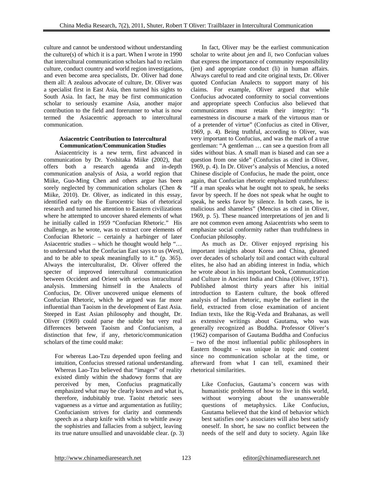culture and cannot be understood without understanding the culture(s) of which it is a part. When I wrote in 1990 that intercultural communication scholars had to reclaim culture, conduct country and world region investigations, and even become area specialists, Dr. Oliver had done them all: A zealous advocate of culture, Dr. Oliver was a specialist first in East Asia, then turned his sights to South Asia. In fact, he may be first communication scholar to seriously examine Asia, another major contribution to the field and forerunner to what is now termed the Asiacentric approach to intercultural communication.

## **Asiacentric Contribution to Intercultural Communication/Communication Studies**

Asiacentricity is a new term, first advanced in communication by Dr. Yoshitaka Miike (2002), that offers both a research agenda and in-depth communication analysis of Asia, a world region that Miike, Guo-Ming Chen and others argue has been sorely neglected by communication scholars (Chen & Miike, 2010). Dr. Oliver, as indicated in this essay, identified early on the Eurocentric bias of rhetorical research and turned his attention to Eastern civilizations where he attempted to uncover shared elements of what he initially called in 1959 "Confucian Rhetoric." His challenge, as he wrote, was to extract core elements of Confucian Rhetoric – certainly a harbinger of later Asiacentric studies – which he thought would help "… to understand what the Confucian East says to us (West), and to be able to speak meaningfully to it." (p. 365). Always the interculturalist, Dr. Oliver offered the specter of improved intercultural communication between Occident and Orient with serious intracultural analysis. Immersing himself in the Analects of Confucius, Dr. Oliver uncovered unique elements of Confucian Rhetoric, which he argued was far more influential than Taoism in the development of East Asia. Steeped in East Asian philosophy and thought, Dr. Oliver (1969) could parse the subtle but very real differences between Taoism and Confucianism, a distinction that few, if any, rhetoric/communication scholars of the time could make:

For whereas Lao-Tzu depended upon feeling and intuition, Confucius stressed rational understanding. Whereas Lao-Tzu believed that "images" of reality existed dimly within the shadowy forms that are perceived by men, Confucius pragmatically emphasized what may be clearly known and what is, therefore, indubitably true. Taoist rhetoric sees vagueness as a virtue and argumentation as futility; Confucianism strives for clarity and commends speech as a sharp knife with which to whittle away the sophistries and fallacies from a subject, leaving its true nature unsullied and unavoidable clear. (p. 3)

In fact, Oliver may be the earliest communication scholar to write about *jen* and *li,* two Confucian values that express the importance of community responsibility (jen) and appropriate conduct (li) in human affairs. Always careful to read and cite original texts, Dr. Oliver quoted Confucian Analects to support many of his claims. For example, Oliver argued that while Confucius advocated conformity to social conventions and appropriate speech Confucius also believed that communicators must retain their integrity: "Is earnestness in discourse a mark of the virtuous man or of a pretender of virtue" (Confucius as cited in Oliver, 1969, p. 4). Being truthful, according to Oliver, was very important to Confucius, and was the mark of a true gentleman: "A gentleman … can see a question from all sides without bias. A small man is biased and can see a question from one side" (Confucius as cited in Oliver, 1969, p. 4). In Dr. Oliver's analysis of Mencius, a noted Chinese disciple of Confucius, he made the point, once again, that Confucian rhetoric emphasized truthfulness: "If a man speaks what he ought not to speak, he seeks favor by speech. If he does not speak what he ought to speak, he seeks favor by silence. In both cases, he is malicious and shameless" (Mencius as cited in Oliver, 1969, p. 5). These nuanced interpretations of jen and li are not common even among Asiacentrists who seem to emphasize social conformity rather than truthfulness in Confucian philosophy.

As much as Dr. Oliver enjoyed reprising his important insights about Korea and China, gleaned over decades of scholarly toil and contact with cultural elites, he also had an abiding interest in India, which he wrote about in his important book, Communication and Culture in Ancient India and China (Oliver, 1971). Published almost thirty years after his initial introduction to Eastern culture, the book offered analysis of Indian rhetoric, maybe the earliest in the field, extracted from close examination of ancient Indian texts, like the Rig-Veda and Brahanas, as well as extensive writings about Gautama, who was generally recognized as Buddha. Professor Oliver's (1962) comparison of Gautama Buddha and Confucius – two of the most influential public philosophers in Eastern thought – was unique in topic and content since no communication scholar at the time, or afterward from what I can tell, examined their rhetorical similarities.

Like Confucius, Gautama's concern was with humanistic problems of how to live in this world, without worrying about the unanswerable questions of metaphysics. Like Confucius, Gautama believed that the kind of behavior which best satisfies one's associates will also best satisfy oneself. In short, he saw no conflict between the needs of the self and duty to society. Again like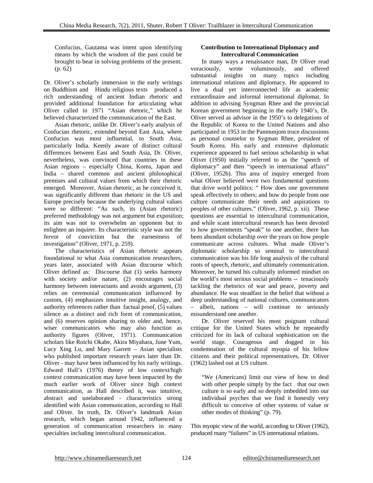Confucius, Gautama was intent upon identifying means by which the wisdom of the past could be brought to bear in solving problems of the present. (p. 62)

Dr. Oliver's scholarly immersion in the early writings on Buddhism and Hindu religious texts produced a rich understanding of ancient Indian rhetoric and provided additional foundation for articulating what Oliver called in 1971 "Asian rhetoric," which he believed characterized the communication of the East.

 Asian rhetoric, unlike Dr. Oliver's early analysis of Confucian rhetoric, extended beyond East Asia, where Confucius was most influential, to South Asia, particularly India. Keenly aware of distinct cultural differences between East and South Asia, Dr. Oliver, nevertheless, was convinced that countries in these Asian regions – especially China, Korea, Japan and India – shared common and ancient philosophical premises and cultural values from which their rhetoric emerged. Moreover, Asian rhetoric, as he conceived it, was significantly different than rhetoric in the US and Europe precisely because the underlying cultural values were so different: "As such, its (Asian rhetoric) preferred methodology was not argument but exposition; its aim was not to overwhelm an opponent but to enlighten an inquirer. Its characteristic style was not the fervor of conviction but the earnestness of investigation" (Oliver, 1971, p. 259).

 The characteristics of Asian rhetoric appears foundational to what Asia communication researchers, years later, associated with Asian discourse which Oliver defined as: Discourse that (1) seeks harmony with society and/or nature, (2) encourages social harmony between interactants and avoids argument, (3) relies on ceremonial communication influenced by custom, (4) emphasizes intuitive insight, analogy, and authority references rather than factual proof, (5) values silence as a distinct and rich form of communication, and (6) reserves opinion sharing to older and, hence, wiser communicators who may also function as authority figures (Oliver, 1971). Communication scholars like Roichi Okabe, Akira Miyahara, June Yum, Lucy Xing Lu, and Mary Garrett – Asian specialists who published important research years later than Dr. Oliver - may have been influenced by his early writings. Edward Hall's (1976) theory of low context/high context communication may have been impacted by the much earlier work of Oliver since high context communication, as Hall described it, was intuitive, abstract and unelaborated - characteristics strong identified with Asian communication, according to Hall and Oliver. In truth, Dr. Oliver's landmark Asian research, which began around 1942, influenced a generation of communication researchers in many specialties including intercultural communication.

# **Contribution to International Diplomacy and Intercultural Communication**

In many ways a renaissance man, Dr Oliver read voraciously, wrote voluminously, and offered substantial insights on many topics including international relations and diplomacy. He appeared to live a dual yet interconnected life as academic extraordinaire and informal international diplomat. In addition to advising Syngman Rhee and the provincial Korean government beginning in the early 1940's, Dr. Oliver served as advisor in the 1950's to delegations of the Republic of Korea to the United Nations and also participated in 1953 in the Panmunjom truce discussions as personal counselor to Sygman Rhee, president of South Korea. His early and extensive diplomatic experience appeared to fuel serious scholarship in what Oliver (1950) initially referred to as the "speech of diplomacy" and then "speech in international affairs" (Oliver, 1952b). This area of inquiry emerged from what Oliver believed were two fundamental questions that drive world politics: " How does one government speak effectively to others; and how do people from one culture communicate their needs and aspirations to peoples of other cultures." (Oliver, 1962, p. xii). These questions are essential to intercultural communication, and while scant intercultural research has been devoted to how governments "speak" to one another, there has been abundant scholarship over the years on how people communicate across cultures. What made Oliver's diplomatic scholarship so seminal to intercultural communication was his life long analysis of the cultural roots of speech, rhetoric, and ultimately communication. Moreover, he turned his culturally informed mindset on the world's most serious social problems -- tenaciously tackling the rhetorics of war and peace, poverty and abundance. He was steadfast in the belief that without a deep understanding of national cultures, communicators – albeit, nations – will continue to seriously misunderstand one another.

 Dr. Oliver reserved his most poignant cultural critique for the United States which he repeatedly criticized for its lack of cultural sophistication on the world stage. Courageous and dogged in his condemnation of the cultural myopia of his fellow citizens and their political representatives, Dr. Oliver (1962) lashed out at US culture.

"We (Americans) limit our view of how to deal with other people simply by the fact that our own culture is so early and so deeply imbedded into our individual psyches that we find it honestly very difficult to conceive of other systems of value or other modes of thinking" (p. 79).

This myopic view of the world, according to Oliver (1962), produced many "failures" in US international relations.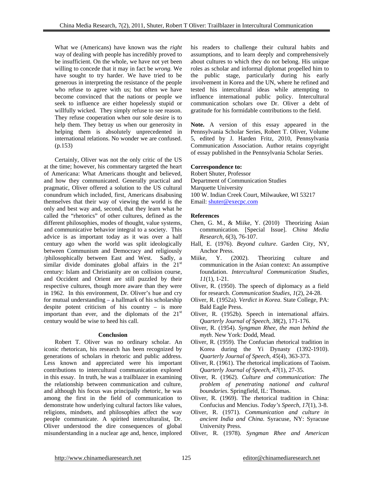What we (Americans) have known was the *right* way of dealing with people has incredibly proved to be insufficient. On the whole, we have not yet been willing to concede that it may in fact be *wrong.* We have sought to try harder. We have tried to be generous in interpreting the resistance of the people who refuse to agree with us; but often we have become convinced that the nations or people we seek to influence are either hopelessly stupid or willfully wicked. They simply refuse to see reason. They refuse cooperation when our sole desire is to help them. They betray us when our generosity in helping them is absolutely unprecedented in international relations. No wonder we are confused. (p.153)

Certainly, Oliver was not the only critic of the US at the time; however, his commentary targeted the heart of Americana: What Americans thought and believed, and how they communicated. Generally practical and pragmatic, Oliver offered a solution to the US cultural conundrum which included, first, Americans disabusing themselves that their way of viewing the world is the only and best way and, second, that they learn what he called the "rhetorics" of other cultures, defined as the different philosophies, modes of thought, value systems, and communicative behavior integral to a society. This advice is as important today as it was over a half century ago when the world was split ideologically between Communism and Democracy and religiously /philosophically between East and West. Sadly, a similar divide dominates global affairs in the  $21<sup>st</sup>$ century: Islam and Christianity are on collision course, and Occident and Orient are still puzzled by their respective cultures, though more aware than they were in 1962. In this environment, Dr. Oliver's hue and cry for mutual understanding – a hallmark of his scholarship despite potent criticism of his country – is more important than ever, and the diplomats of the  $21<sup>st</sup>$ century would be wise to heed his call.

### **Conclusion**

Robert T. Oliver was no ordinary scholar. An iconic rhetorican, his research has been recognized by generations of scholars in rhetoric and public address. Less known and appreciated were his important contributions to intercultural communication explored in this essay. In truth, he was a trailblazer in examining the relationship between communication and culture, and although his focus was principally rhetoric, he was among the first in the field of communication to demonstrate how underlying cultural factors like values, religions, mindsets, and philosophies affect the way people communicate. A spirited interculturalist, Dr. Oliver understood the dire consequences of global misunderstanding in a nuclear age and, hence, implored

his readers to challenge their cultural habits and assumptions, and to learn deeply and comprehensively about cultures to which they do not belong. His unique roles as scholar and informal diplomat propelled him to the public stage, particularly during his early involvement in Korea and the UN, where he refined and tested his intercultural ideas while attempting to influence international public policy. Intercultural communication scholars owe Dr. Oliver a debt of gratitude for his formidable contributions to the field.

**Note.** A version of this essay appeared in the Pennsylvania Scholar Series, Robert T. Oliver, Volume 5, edited by J. Harden Fritz, 2010, Pennsylvania Communication Association. Author retains copyright of essay published in the Pennsylvania Scholar Series.

#### **Correspondence to:**

Robert Shuter, Professor Department of Communication Studies Marquette University 100 W. Indian Creek Court, Milwaukee, WI 53217 Email: shuter@execpc.com

#### **References**

- Chen, G. M., & Miike, Y. (2010) Theorizing Asian communication. [Special Issue]. *China Media Research, 6*(3), 76-107.
- Hall, E. (1976). *Beyond culture*. Garden City, NY, Anchor Press.
- Miike, Y. (2002). Theorizing culture and communication in the Asian context: An assumptive foundation. *Intercultural Communication Studies*, *11*(1), 1-21.
- Oliver, R. (1950). The speech of diplomacy as a field for research. *Communication Studies*, *1*(2), 24-28.
- Oliver, R. (1952a). *Verdict in Korea*. State College, PA: Bald Eagle Press.
- Oliver, R. (1952b). Speech in international affairs. *Quarterly Journal of Speech*, *38*(2), 171-176.
- Oliver, R. (1954). *Syngman Rhee, the man behind the myth*. New York: Dodd, Mead.
- Oliver, R. (1959). The Confucian rhetorical tradition in Korea during the Yi Dynasty (1392-1910). *Quarterly Journal of Speech*, *45*(4), 363-373.
- Oliver, R. (1961). The rhetorical implications of Taoism. *Quarterly Journal of Speech*, *47*(1), 27-35.
- Oliver, R. (1962). *Culture and communication: The problem of penetrating national and cultural boundaries*. Springfield, IL: Thomas.
- Oliver, R. (1969). The rhetorical tradition in China: Confucius and Mencius. *Today's Speech*, *17*(1), 3-8.
- Oliver, R. (1971). *Communication and culture in ancient India and China*. Syracuse, NY: Syracuse University Press.
- Oliver, R. (1978). *Syngman Rhee and American*